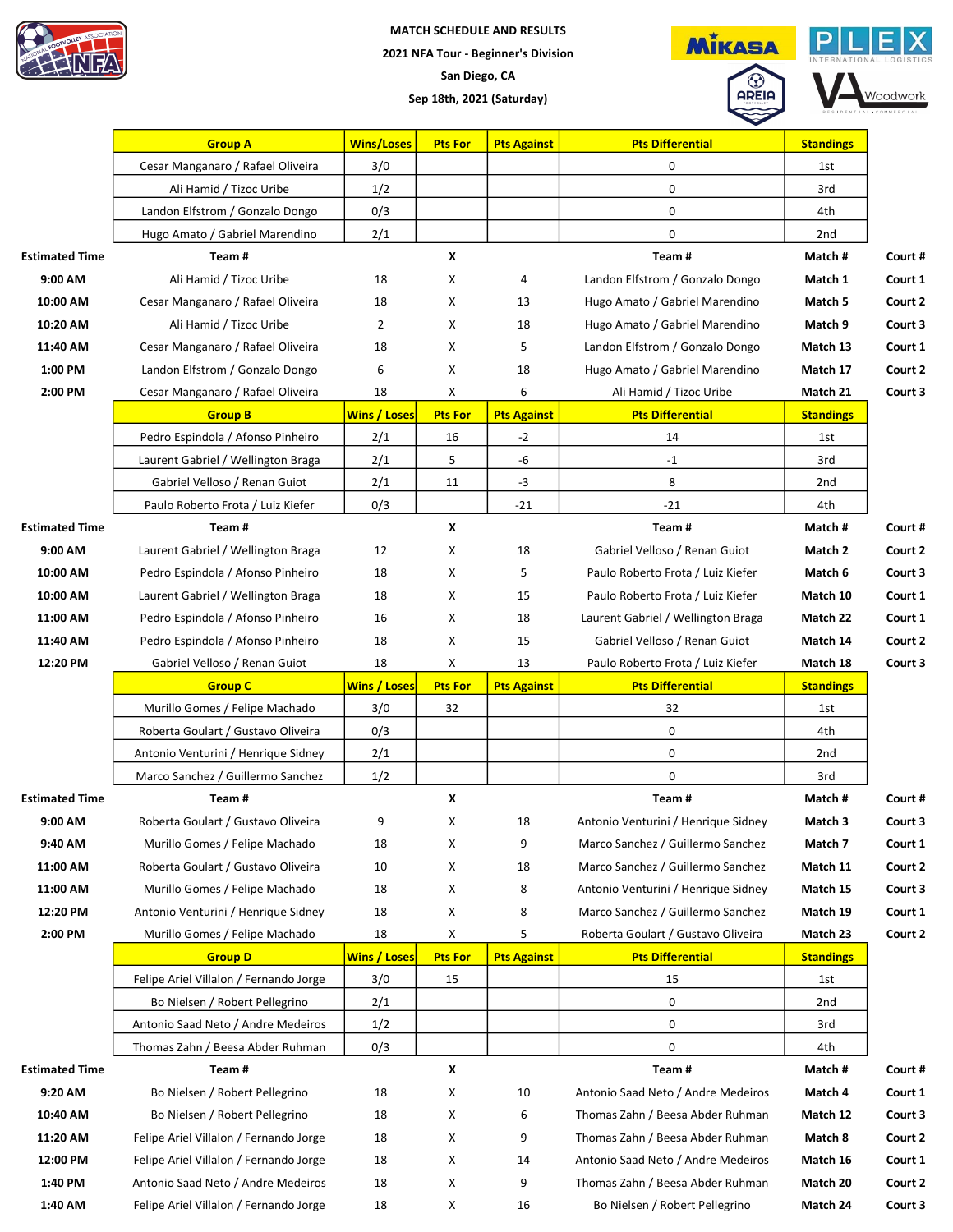

## MATCH SCHEDULE AND RESULTS 2021 NFA Tour - Beginner's Division San Diego, CA Sep 18th, 2021 (Saturday)



Woodwork

|                       | <b>Group A</b>                         | <b>Wins/Loses</b>   | <b>Pts For</b> | <b>Pts Against</b> | <b>Pts Differential</b>             | <b>Standings</b> |         |
|-----------------------|----------------------------------------|---------------------|----------------|--------------------|-------------------------------------|------------------|---------|
|                       | Cesar Manganaro / Rafael Oliveira      | 3/0                 |                |                    | 0                                   | 1st              |         |
|                       | Ali Hamid / Tizoc Uribe                | 1/2                 |                |                    | 0                                   | 3rd              |         |
|                       | Landon Elfstrom / Gonzalo Dongo        | 0/3                 |                |                    | 0                                   | 4th              |         |
|                       | Hugo Amato / Gabriel Marendino         | 2/1                 |                |                    | 0                                   | 2 <sub>nd</sub>  |         |
| <b>Estimated Time</b> | Team#                                  |                     | X              |                    | Team#                               | Match#           | Court # |
| 9:00 AM               | Ali Hamid / Tizoc Uribe                | 18                  | х              | 4                  | Landon Elfstrom / Gonzalo Dongo     | Match 1          | Court 1 |
| 10:00 AM              | Cesar Manganaro / Rafael Oliveira      | 18                  | X              | 13                 | Hugo Amato / Gabriel Marendino      | Match 5          | Court 2 |
| 10:20 AM              | Ali Hamid / Tizoc Uribe                | $\overline{2}$      | X              | 18                 | Hugo Amato / Gabriel Marendino      | Match 9          | Court 3 |
| 11:40 AM              | Cesar Manganaro / Rafael Oliveira      | 18                  | Χ              | 5                  | Landon Elfstrom / Gonzalo Dongo     | Match 13         | Court 1 |
| 1:00 PM               | Landon Elfstrom / Gonzalo Dongo        | 6                   | х              | 18                 | Hugo Amato / Gabriel Marendino      | Match 17         | Court 2 |
| 2:00 PM               | Cesar Manganaro / Rafael Oliveira      | 18                  | X              | 6                  | Ali Hamid / Tizoc Uribe             | Match 21         | Court 3 |
|                       | <b>Group B</b>                         | <b>Wins / Loses</b> | <b>Pts For</b> | <b>Pts Against</b> | <b>Pts Differential</b>             | <b>Standings</b> |         |
|                       | Pedro Espindola / Afonso Pinheiro      | 2/1                 | 16             | $-2$               | 14                                  | 1st              |         |
|                       | Laurent Gabriel / Wellington Braga     | 2/1                 | 5              | -6                 | $-1$                                | 3rd              |         |
|                       | Gabriel Velloso / Renan Guiot          | 2/1                 | 11             | $-3$               | 8                                   | 2 <sub>nd</sub>  |         |
|                       | Paulo Roberto Frota / Luiz Kiefer      | 0/3                 |                | $-21$              | $-21$                               | 4th              |         |
| <b>Estimated Time</b> | Team#                                  |                     | X              |                    | Team#                               | Match #          | Court # |
| 9:00 AM               | Laurent Gabriel / Wellington Braga     | 12                  | Х              | 18                 | Gabriel Velloso / Renan Guiot       | Match 2          | Court 2 |
| 10:00 AM              | Pedro Espindola / Afonso Pinheiro      | 18                  | Х              | 5                  | Paulo Roberto Frota / Luiz Kiefer   | Match 6          | Court 3 |
| 10:00 AM              | Laurent Gabriel / Wellington Braga     | 18                  | X              | 15                 | Paulo Roberto Frota / Luiz Kiefer   | Match 10         | Court 1 |
| 11:00 AM              | Pedro Espindola / Afonso Pinheiro      | 16                  | X              | 18                 | Laurent Gabriel / Wellington Braga  | Match 22         | Court 1 |
| 11:40 AM              | Pedro Espindola / Afonso Pinheiro      | 18                  | Х              | 15                 | Gabriel Velloso / Renan Guiot       | Match 14         | Court 2 |
| 12:20 PM              | Gabriel Velloso / Renan Guiot          | 18                  | Х              | 13                 | Paulo Roberto Frota / Luiz Kiefer   | Match 18         | Court 3 |
|                       |                                        |                     |                |                    |                                     |                  |         |
|                       | <b>Group C</b>                         | <b>Wins / Loses</b> | <b>Pts For</b> | <b>Pts Against</b> | <b>Pts Differential</b>             | <b>Standings</b> |         |
|                       | Murillo Gomes / Felipe Machado         | 3/0                 | 32             |                    | 32                                  | 1st              |         |
|                       | Roberta Goulart / Gustavo Oliveira     | 0/3                 |                |                    | 0                                   | 4th              |         |
|                       | Antonio Venturini / Henrique Sidney    | 2/1                 |                |                    | 0                                   | 2nd              |         |
|                       | Marco Sanchez / Guillermo Sanchez      | 1/2                 |                |                    | 0                                   | 3rd              |         |
| <b>Estimated Time</b> | Team#                                  |                     | X              |                    | Team#                               | Match#           | Court # |
| 9:00 AM               | Roberta Goulart / Gustavo Oliveira     | 9                   | Χ              | 18                 | Antonio Venturini / Henrique Sidney | Match 3          | Court 3 |
| 9:40 AM               | Murillo Gomes / Felipe Machado         | 18                  | Х              | 9                  | Marco Sanchez / Guillermo Sanchez   | Match 7          | Court 1 |
| 11:00 AM              | Roberta Goulart / Gustavo Oliveira     | 10                  | Х              | 18                 | Marco Sanchez / Guillermo Sanchez   | Match 11         | Court 2 |
| 11:00 AM              | Murillo Gomes / Felipe Machado         | 18                  | X              | 8                  | Antonio Venturini / Henrique Sidney | Match 15         | Court 3 |
| 12:20 PM              | Antonio Venturini / Henrique Sidney    | 18                  | X              | 8                  | Marco Sanchez / Guillermo Sanchez   | Match 19         | Court 1 |
| 2:00 PM               | Murillo Gomes / Felipe Machado         | 18                  | X              | 5                  | Roberta Goulart / Gustavo Oliveira  | Match 23         | Court 2 |
|                       | <b>Group D</b>                         | <b>Wins / Loses</b> | <b>Pts For</b> | <b>Pts Against</b> | <b>Pts Differential</b>             | <b>Standings</b> |         |
|                       | Felipe Ariel Villalon / Fernando Jorge | 3/0                 | 15             |                    | 15                                  | 1st              |         |
|                       | Bo Nielsen / Robert Pellegrino         | 2/1                 |                |                    | 0                                   | 2nd              |         |
|                       | Antonio Saad Neto / Andre Medeiros     | 1/2                 |                |                    | 0                                   | 3rd              |         |
|                       | Thomas Zahn / Beesa Abder Ruhman       | 0/3                 |                |                    | 0                                   | 4th              |         |
| <b>Estimated Time</b> | Team#                                  |                     | X              |                    | Team#                               | Match#           | Court # |
| 9:20 AM               | Bo Nielsen / Robert Pellegrino         | 18                  | X              | 10                 | Antonio Saad Neto / Andre Medeiros  | Match 4          | Court 1 |
| 10:40 AM              | Bo Nielsen / Robert Pellegrino         | 18                  | X              | 6                  | Thomas Zahn / Beesa Abder Ruhman    | Match 12         | Court 3 |
| 11:20 AM              | Felipe Ariel Villalon / Fernando Jorge | 18                  | X              | 9                  | Thomas Zahn / Beesa Abder Ruhman    | Match 8          | Court 2 |
| 12:00 PM              | Felipe Ariel Villalon / Fernando Jorge | 18                  | X              | 14                 | Antonio Saad Neto / Andre Medeiros  | Match 16         | Court 1 |
| 1:40 PM               | Antonio Saad Neto / Andre Medeiros     | 18                  | X              | 9                  | Thomas Zahn / Beesa Abder Ruhman    | Match 20         | Court 2 |